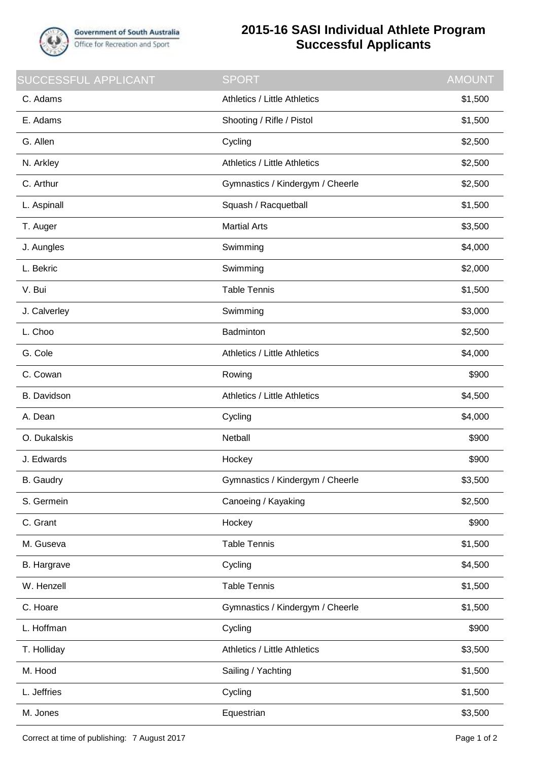

## **2015-16 SASI Individual Athlete Program Successful Applicants**

| SUCCESSFUL APPLICANT | <b>SPORT</b>                        | <b>AMOUNT</b> |
|----------------------|-------------------------------------|---------------|
| C. Adams             | <b>Athletics / Little Athletics</b> | \$1,500       |
| E. Adams             | Shooting / Rifle / Pistol           | \$1,500       |
| G. Allen             | Cycling                             | \$2,500       |
| N. Arkley            | Athletics / Little Athletics        | \$2,500       |
| C. Arthur            | Gymnastics / Kindergym / Cheerle    | \$2,500       |
| L. Aspinall          | Squash / Racquetball                | \$1,500       |
| T. Auger             | <b>Martial Arts</b>                 | \$3,500       |
| J. Aungles           | Swimming                            | \$4,000       |
| L. Bekric            | Swimming                            | \$2,000       |
| V. Bui               | <b>Table Tennis</b>                 | \$1,500       |
| J. Calverley         | Swimming                            | \$3,000       |
| L. Choo              | Badminton                           | \$2,500       |
| G. Cole              | Athletics / Little Athletics        | \$4,000       |
| C. Cowan             | Rowing                              | \$900         |
| <b>B.</b> Davidson   | <b>Athletics / Little Athletics</b> | \$4,500       |
| A. Dean              | Cycling                             | \$4,000       |
| O. Dukalskis         | Netball                             | \$900         |
| J. Edwards           | Hockey                              | \$900         |
| <b>B.</b> Gaudry     | Gymnastics / Kindergym / Cheerle    | \$3,500       |
| S. Germein           | Canoeing / Kayaking                 | \$2,500       |
| C. Grant             | Hockey                              | \$900         |
| M. Guseva            | <b>Table Tennis</b>                 | \$1,500       |
| <b>B.</b> Hargrave   | Cycling                             | \$4,500       |
| W. Henzell           | <b>Table Tennis</b>                 | \$1,500       |
| C. Hoare             | Gymnastics / Kindergym / Cheerle    | \$1,500       |
| L. Hoffman           | Cycling                             | \$900         |
| T. Holliday          | Athletics / Little Athletics        | \$3,500       |
| M. Hood              | Sailing / Yachting                  | \$1,500       |
| L. Jeffries          | Cycling                             | \$1,500       |
| M. Jones             | Equestrian                          | \$3,500       |